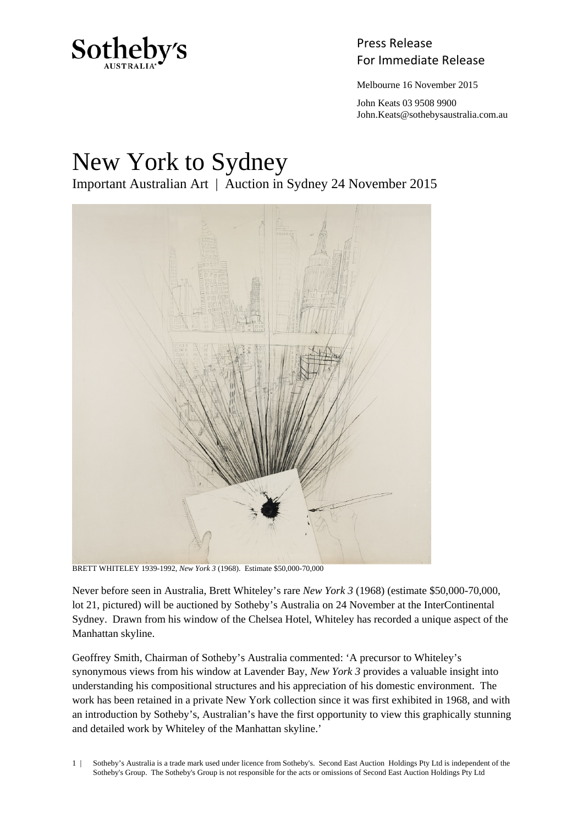

## Press Release Sotheby's<br>For Immediate Release

Melbourne 16 November 2015

 John Keats 03 9508 9900 John.Keats@sothebysaustralia.com.au

## New York to Sydney Important Australian Art | Auction in Sydney 24 November 2015



BRETT WHITELEY 1939-1992, *New York 3* (1968). Estimate \$50,000-70,000

Never before seen in Australia, Brett Whiteley's rare *New York 3* (1968) (estimate \$50,000-70,000, lot 21, pictured) will be auctioned by Sotheby's Australia on 24 November at the InterContinental Sydney. Drawn from his window of the Chelsea Hotel, Whiteley has recorded a unique aspect of the Manhattan skyline.

Geoffrey Smith, Chairman of Sotheby's Australia commented: 'A precursor to Whiteley's synonymous views from his window at Lavender Bay, *New York 3* provides a valuable insight into understanding his compositional structures and his appreciation of his domestic environment. The work has been retained in a private New York collection since it was first exhibited in 1968, and with an introduction by Sotheby's, Australian's have the first opportunity to view this graphically stunning and detailed work by Whiteley of the Manhattan skyline.'

1 | Sotheby's Australia is a trade mark used under licence from Sotheby's. Second East Auction Holdings Pty Ltd is independent of the Sotheby's Group. The Sotheby's Group is not responsible for the acts or omissions of Second East Auction Holdings Pty Ltd